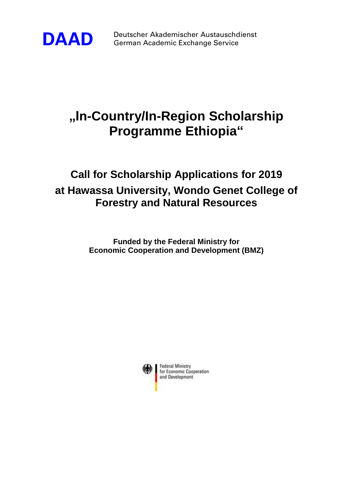

**DAAD** Deutscher Akademischer Austauschdienst German Academic Exchange Service

## **"In-Country/In-Region Scholarship Programme Ethiopia"**

## **Call for Scholarship Applications for 2019 at Hawassa University, Wondo Genet College of Forestry and Natural Resources**

**Funded by the Federal Ministry for Economic Cooperation and Development (BMZ)**

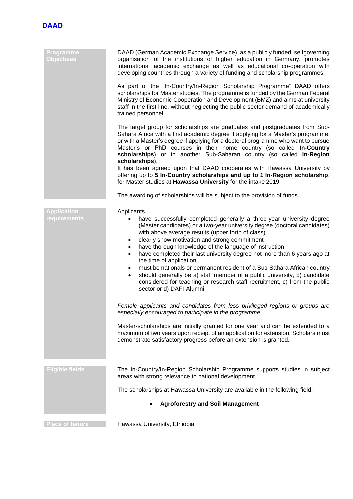

| Programme<br><b>Objectives</b>     | DAAD (German Academic Exchange Service), as a publicly funded, selfgoverning<br>organisation of the institutions of higher education in Germany, promotes<br>international academic exchange as well as educational co-operation with<br>developing countries through a variety of funding and scholarship programmes.<br>As part of the "In-Country/In-Region Scholarship Programme" DAAD offers<br>scholarships for Master studies. The programme is funded by the German Federal<br>Ministry of Economic Cooperation and Development (BMZ) and aims at university<br>staff in the first line, without neglecting the public sector demand of academically<br>trained personnel.                                                      |
|------------------------------------|-----------------------------------------------------------------------------------------------------------------------------------------------------------------------------------------------------------------------------------------------------------------------------------------------------------------------------------------------------------------------------------------------------------------------------------------------------------------------------------------------------------------------------------------------------------------------------------------------------------------------------------------------------------------------------------------------------------------------------------------|
|                                    | The target group for scholarships are graduates and postgraduates from Sub-<br>Sahara Africa with a first academic degree if applying for a Master's programme,<br>or with a Master's degree if applying for a doctoral programme who want to pursue<br>Master's or PhD courses in their home country (so called In-Country<br>scholarships) or in another Sub-Saharan country (so called In-Region<br>scholarships).<br>It has been agreed upon that DAAD cooperates with Hawassa University by<br>offering up to 5 In-Country scholarships and up to 1 In-Region scholarship.<br>for Master studies at Hawassa University for the intake 2019.                                                                                        |
|                                    | The awarding of scholarships will be subject to the provision of funds.                                                                                                                                                                                                                                                                                                                                                                                                                                                                                                                                                                                                                                                                 |
| <b>Application</b><br>requirements | Applicants<br>have successfully completed generally a three-year university degree<br>(Master candidates) or a two-year university degree (doctoral candidates)<br>with above average results (upper forth of class)<br>clearly show motivation and strong commitment<br>$\bullet$<br>have thorough knowledge of the language of instruction<br>٠<br>have completed their last university degree not more than 6 years ago at<br>٠<br>the time of application<br>must be nationals or permanent resident of a Sub-Sahara African country<br>٠<br>should generally be a) staff member of a public university, b) candidate<br>٠<br>considered for teaching or research staff recruitment, c) from the public<br>sector or d) DAFI-Alumni |
|                                    | Female applicants and candidates from less privileged regions or groups are<br>especially encouraged to participate in the programme.                                                                                                                                                                                                                                                                                                                                                                                                                                                                                                                                                                                                   |
|                                    | Master-scholarships are initially granted for one year and can be extended to a<br>maximum of two years upon receipt of an application for extension. Scholars must<br>demonstrate satisfactory progress before an extension is granted.                                                                                                                                                                                                                                                                                                                                                                                                                                                                                                |
| <b>Eligible fields</b>             | The In-Country/In-Region Scholarship Programme supports studies in subject<br>areas with strong relevance to national development.                                                                                                                                                                                                                                                                                                                                                                                                                                                                                                                                                                                                      |
|                                    | The scholarships at Hawassa University are available in the following field:                                                                                                                                                                                                                                                                                                                                                                                                                                                                                                                                                                                                                                                            |
|                                    | <b>Agroforestry and Soil Management</b>                                                                                                                                                                                                                                                                                                                                                                                                                                                                                                                                                                                                                                                                                                 |
| <b>Place of tenure</b>             | Hawassa University, Ethiopia                                                                                                                                                                                                                                                                                                                                                                                                                                                                                                                                                                                                                                                                                                            |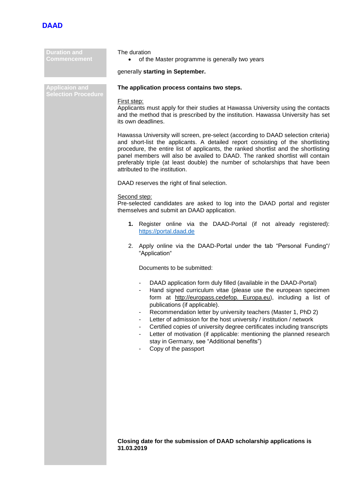

| <b>Duration and</b><br><b>Commencement</b>          | The duration<br>of the Master programme is generally two years<br>$\bullet$                                                                                                                                                                                                                                                                                                                                                                                                                                                                                                                                                   |  |
|-----------------------------------------------------|-------------------------------------------------------------------------------------------------------------------------------------------------------------------------------------------------------------------------------------------------------------------------------------------------------------------------------------------------------------------------------------------------------------------------------------------------------------------------------------------------------------------------------------------------------------------------------------------------------------------------------|--|
|                                                     | generally starting in September.                                                                                                                                                                                                                                                                                                                                                                                                                                                                                                                                                                                              |  |
| <b>Applicaion and</b><br><b>Selection Procedure</b> | The application process contains two steps.                                                                                                                                                                                                                                                                                                                                                                                                                                                                                                                                                                                   |  |
|                                                     | First step:<br>Applicants must apply for their studies at Hawassa University using the contacts<br>and the method that is prescribed by the institution. Hawassa University has set<br>its own deadlines.                                                                                                                                                                                                                                                                                                                                                                                                                     |  |
|                                                     | Hawassa University will screen, pre-select (according to DAAD selection criteria)<br>and short-list the applicants. A detailed report consisting of the shortlisting<br>procedure, the entire list of applicants, the ranked shortlist and the shortlisting<br>panel members will also be availed to DAAD. The ranked shortlist will contain<br>preferably triple (at least double) the number of scholarships that have been<br>attributed to the institution.                                                                                                                                                               |  |
|                                                     | DAAD reserves the right of final selection.                                                                                                                                                                                                                                                                                                                                                                                                                                                                                                                                                                                   |  |
|                                                     | Second step:<br>Pre-selected candidates are asked to log into the DAAD portal and register<br>themselves and submit an DAAD application.                                                                                                                                                                                                                                                                                                                                                                                                                                                                                      |  |
|                                                     | 1. Register online via the DAAD-Portal (if not already registered):<br>https://portal.daad.de                                                                                                                                                                                                                                                                                                                                                                                                                                                                                                                                 |  |
|                                                     | 2. Apply online via the DAAD-Portal under the tab "Personal Funding"/<br>"Application"                                                                                                                                                                                                                                                                                                                                                                                                                                                                                                                                        |  |
|                                                     | Documents to be submitted:                                                                                                                                                                                                                                                                                                                                                                                                                                                                                                                                                                                                    |  |
|                                                     | DAAD application form duly filled (available in the DAAD-Portal)<br>$\blacksquare$<br>Hand signed curriculum vitae (please use the european specimen<br>form at http://europass.cedefop. Europa.eu), including a list of<br>publications (if applicable).<br>Recommendation letter by university teachers (Master 1, PhD 2)<br>Letter of admission for the host university / institution / network<br>Certified copies of university degree certificates including transcripts<br>Letter of motivation (if applicable: mentioning the planned research<br>stay in Germany, see "Additional benefits")<br>Copy of the passport |  |
|                                                     |                                                                                                                                                                                                                                                                                                                                                                                                                                                                                                                                                                                                                               |  |

**Closing date for the submission of DAAD scholarship applications is 31.03.2019**